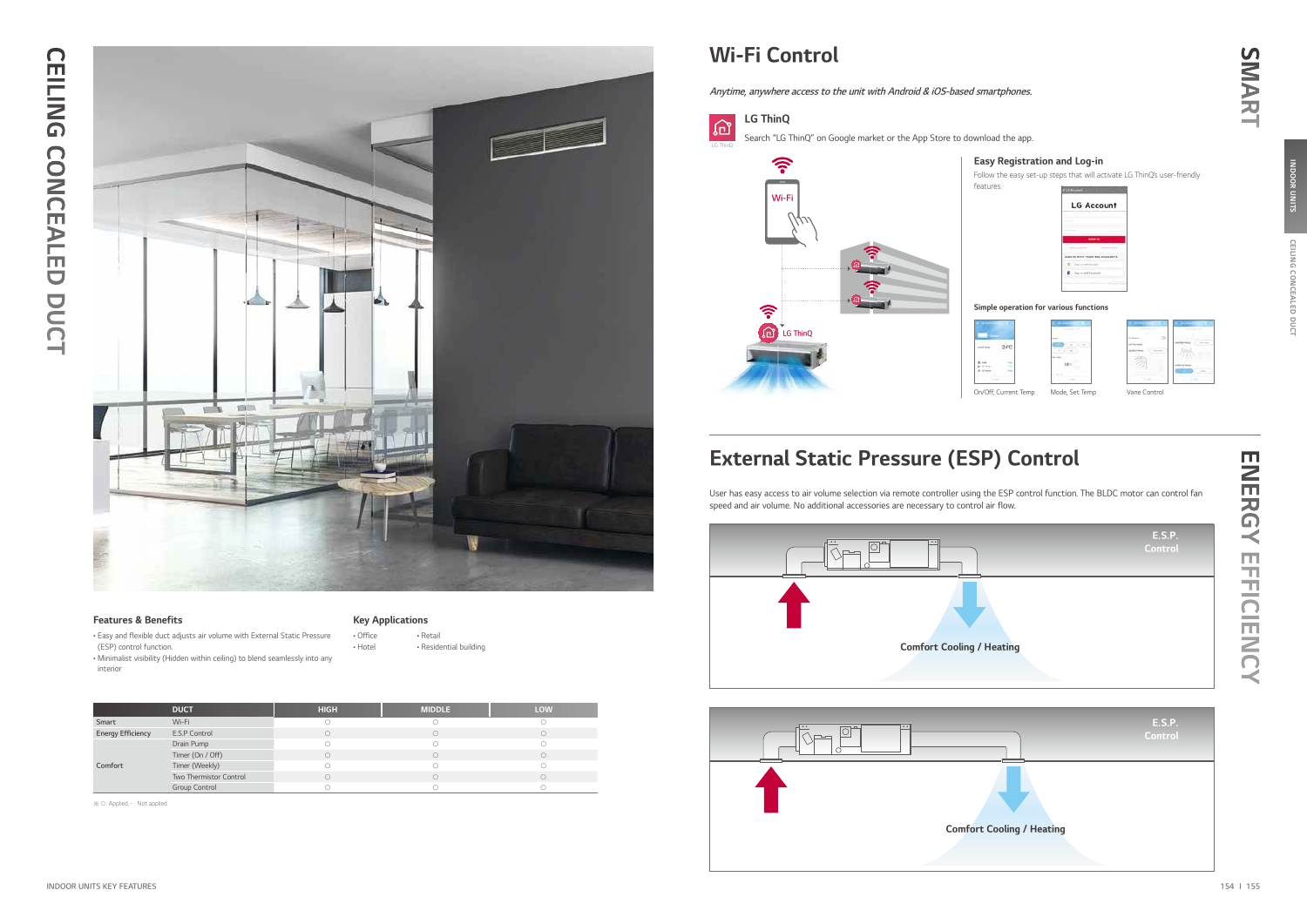

#### Features & Benefits

• Easy and flexible duct adjusts air volume with External Static Pressure (ESP) control function.

• Minimalist visibility (Hidden within ceiling) to blend seamlessly into any interior

Key Applications

• Office • Hotel

• Retail

• Residential building

Follow the easy set-up steps that will activate LG ThinQ's user-friendly **COLLEGE** 

| Account      |
|--------------|
|              |
| <b>SHEAT</b> |
|              |
|              |
|              |
|              |
|              |

※ ○: Applied, - : Not applied

### Wi-Fi Control

# External Static Pressure (ESP) Control

SMART

Anytime, anywhere access to the unit with Android & iOS-based smartphones.



ENERGY ENERGY EFFICIENCY **EFFICIENCY** 

### Easy Registration and Log-in

#### Simple operation for various functions





User has easy access to air volume selection via remote controller using the ESP control function. The BLDC motor can control fan speed and air volume. No additional accessories are necessary to control air flow.





|                          | <b>E.S.P.</b><br>Control |
|--------------------------|--------------------------|
|                          |                          |
| Heating                  |                          |
|                          |                          |
|                          | <b>E.S.P.</b><br>Control |
|                          |                          |
| <b>Cooling / Heating</b> |                          |

|                          | <b>DUCT</b>            | <b>HIGH</b> | <b>MIDDLE</b> | <b>LOW</b> |
|--------------------------|------------------------|-------------|---------------|------------|
| Smart                    | Wi-Fi                  |             |               |            |
| <b>Energy Efficiency</b> | E.S.P Control          |             |               |            |
|                          | Drain Pump             |             |               |            |
|                          | Timer (On / Off)       |             |               |            |
| Comfort                  | Timer (Weekly)         |             |               |            |
|                          | Two Thermistor Control |             |               |            |
|                          | Group Control          |             |               |            |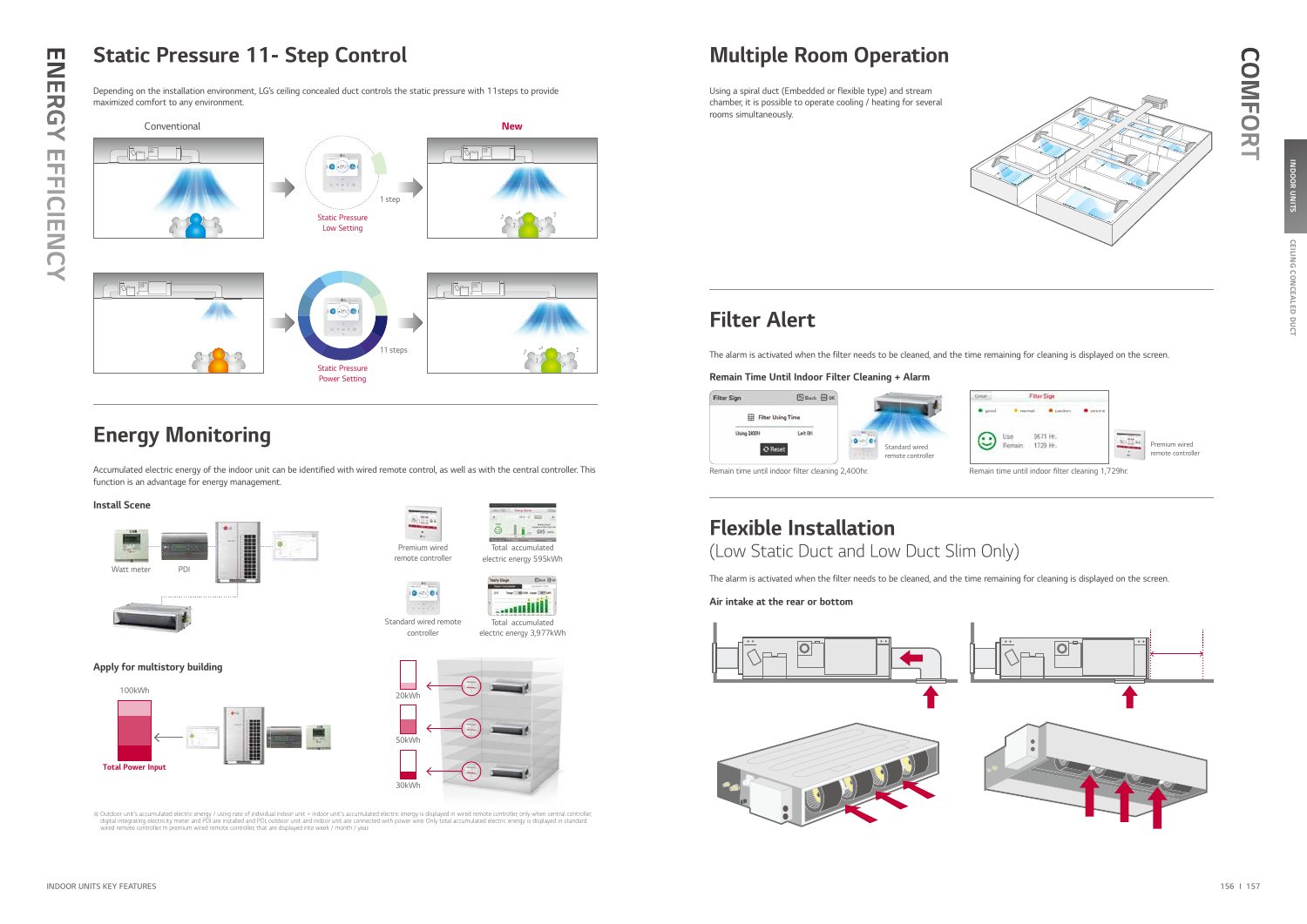# Static Pressure 11- Step Control

## Energy Monitoring



Depending on the installation environment, LG's ceiling concealed duct controls the static pressure with 11steps to provide maximized comfort to any environment.

## Multiple Room Operation

# Filter Alert

COMFORT

**COMFORT** 

Using a spiral duct (Embedded or flexible type) and stream chamber, it is possible to operate cooling / heating for several rooms simultaneously.

#### Remain Time Until Indoor Filter Cleaning + Alarm

Remain time until indoor filter cleaning 2,400hr.



| <b>COLOR</b> | Filter Sign      |  |                                    |
|--------------|------------------|--|------------------------------------|
|              |                  |  |                                    |
|              | Remain: 1729 Hr. |  | Premium wired<br>remote controller |

The alarm is activated when the filter needs to be cleaned, and the time remaining for cleaning is displayed on the screen.

**Millions** Total accumulated electric energy 3,977kWh

### Air intake at the rear or bottom



The alarm is activated when the filter needs to be cleaned, and the time remaining for cleaning is displayed on the screen.

#### Install Scene

Apply for multistory building







Woutdoor unit's accumulated electric energy / using rate of individual indoor unit + indoor unit's accumulated electric energy is displayed in wired remote controller, only when central controller, digital integrating elig



Total accumulated electric energy 595kWh

 $Q = 11.585 m$ 



controller

Accumulated electric energy of the indoor unit can be identified with wired remote control, as well as with the central controller. This function is an advantage for energy management.

### Flexible Installation

(Low Static Duct and Low Duct Slim Only)